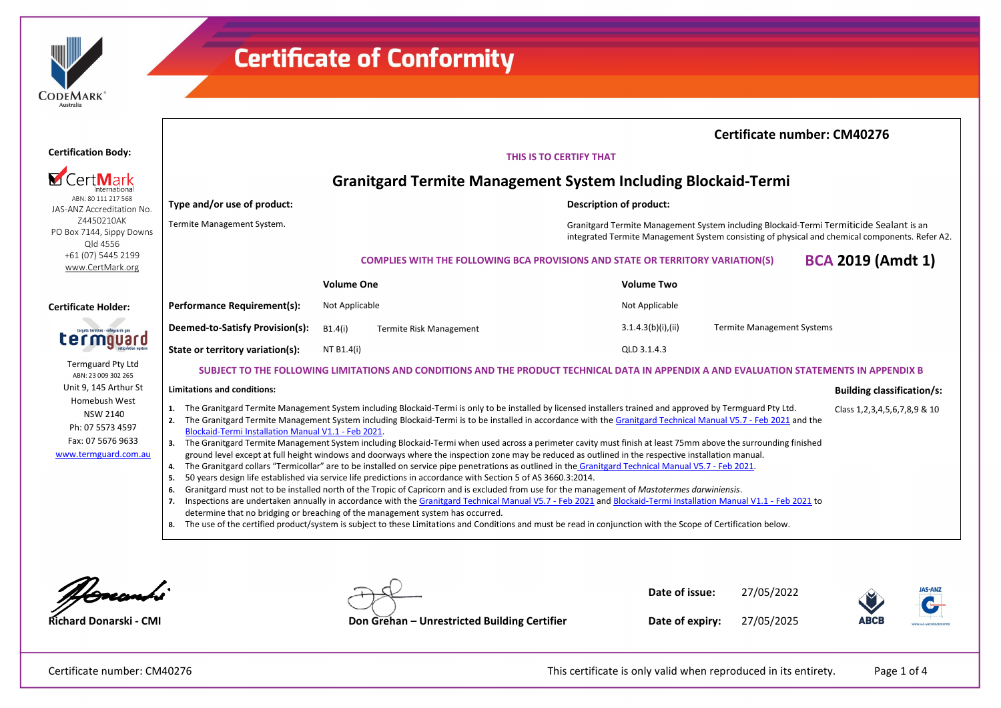| <b>DEMARK</b> |  |
|---------------|--|
| Australia     |  |

|                                                                                                   |                                                                                                                                          |                                                                                                                                                                                                                                                                                                                                                                                                                                                                                                                                                                                                                                                                                                                                                                                                                                                                                                                                                                                                                                                                                                                                                                                                                                                                                                                                                                                                                                                                                                                    |                                                                                                                                                                                           |                    |                                   | <b>Certificate number: CM40276</b>   |  |
|---------------------------------------------------------------------------------------------------|------------------------------------------------------------------------------------------------------------------------------------------|--------------------------------------------------------------------------------------------------------------------------------------------------------------------------------------------------------------------------------------------------------------------------------------------------------------------------------------------------------------------------------------------------------------------------------------------------------------------------------------------------------------------------------------------------------------------------------------------------------------------------------------------------------------------------------------------------------------------------------------------------------------------------------------------------------------------------------------------------------------------------------------------------------------------------------------------------------------------------------------------------------------------------------------------------------------------------------------------------------------------------------------------------------------------------------------------------------------------------------------------------------------------------------------------------------------------------------------------------------------------------------------------------------------------------------------------------------------------------------------------------------------------|-------------------------------------------------------------------------------------------------------------------------------------------------------------------------------------------|--------------------|-----------------------------------|--------------------------------------|--|
| <b>Certification Body:</b>                                                                        | THIS IS TO CERTIFY THAT                                                                                                                  |                                                                                                                                                                                                                                                                                                                                                                                                                                                                                                                                                                                                                                                                                                                                                                                                                                                                                                                                                                                                                                                                                                                                                                                                                                                                                                                                                                                                                                                                                                                    |                                                                                                                                                                                           |                    |                                   |                                      |  |
|                                                                                                   | <b>Granitgard Termite Management System Including Blockaid-Termi</b>                                                                     |                                                                                                                                                                                                                                                                                                                                                                                                                                                                                                                                                                                                                                                                                                                                                                                                                                                                                                                                                                                                                                                                                                                                                                                                                                                                                                                                                                                                                                                                                                                    |                                                                                                                                                                                           |                    |                                   |                                      |  |
| ABN: 80 111 217 568<br>JAS-ANZ Accreditation No.                                                  | Type and/or use of product:                                                                                                              |                                                                                                                                                                                                                                                                                                                                                                                                                                                                                                                                                                                                                                                                                                                                                                                                                                                                                                                                                                                                                                                                                                                                                                                                                                                                                                                                                                                                                                                                                                                    | <b>Description of product:</b>                                                                                                                                                            |                    |                                   |                                      |  |
| Z4450210AK<br>PO Box 7144, Sippy Downs<br>Qld 4556                                                | Termite Management System.                                                                                                               |                                                                                                                                                                                                                                                                                                                                                                                                                                                                                                                                                                                                                                                                                                                                                                                                                                                                                                                                                                                                                                                                                                                                                                                                                                                                                                                                                                                                                                                                                                                    | Granitgard Termite Management System including Blockaid-Termi Termiticide Sealant is an<br>integrated Termite Management System consisting of physical and chemical components. Refer A2. |                    |                                   |                                      |  |
| +61 (07) 5445 2199<br>www.CertMark.org                                                            |                                                                                                                                          |                                                                                                                                                                                                                                                                                                                                                                                                                                                                                                                                                                                                                                                                                                                                                                                                                                                                                                                                                                                                                                                                                                                                                                                                                                                                                                                                                                                                                                                                                                                    | <b>COMPLIES WITH THE FOLLOWING BCA PROVISIONS AND STATE OR TERRITORY VARIATION(S)</b>                                                                                                     |                    |                                   | <b>BCA 2019 (Amdt 1)</b>             |  |
|                                                                                                   |                                                                                                                                          | <b>Volume One</b>                                                                                                                                                                                                                                                                                                                                                                                                                                                                                                                                                                                                                                                                                                                                                                                                                                                                                                                                                                                                                                                                                                                                                                                                                                                                                                                                                                                                                                                                                                  |                                                                                                                                                                                           | <b>Volume Two</b>  |                                   |                                      |  |
| <b>Certificate Holder:</b>                                                                        | Performance Requirement(s):                                                                                                              | Not Applicable                                                                                                                                                                                                                                                                                                                                                                                                                                                                                                                                                                                                                                                                                                                                                                                                                                                                                                                                                                                                                                                                                                                                                                                                                                                                                                                                                                                                                                                                                                     |                                                                                                                                                                                           | Not Applicable     |                                   |                                      |  |
| targets termites - safeguards you<br>cerm<br>reticulation sustee                                  | Deemed-to-Satisfy Provision(s):                                                                                                          | B1.4(i)<br><b>Termite Risk Management</b>                                                                                                                                                                                                                                                                                                                                                                                                                                                                                                                                                                                                                                                                                                                                                                                                                                                                                                                                                                                                                                                                                                                                                                                                                                                                                                                                                                                                                                                                          |                                                                                                                                                                                           | 3.1.4.3(b)(i),(ii) | <b>Termite Management Systems</b> |                                      |  |
|                                                                                                   | State or territory variation(s):                                                                                                         | NT B1.4(i)                                                                                                                                                                                                                                                                                                                                                                                                                                                                                                                                                                                                                                                                                                                                                                                                                                                                                                                                                                                                                                                                                                                                                                                                                                                                                                                                                                                                                                                                                                         |                                                                                                                                                                                           | QLD 3.1.4.3        |                                   |                                      |  |
| <b>Termguard Pty Ltd</b><br>ABN: 23 009 302 265                                                   | SUBJECT TO THE FOLLOWING LIMITATIONS AND CONDITIONS AND THE PRODUCT TECHNICAL DATA IN APPENDIX A AND EVALUATION STATEMENTS IN APPENDIX B |                                                                                                                                                                                                                                                                                                                                                                                                                                                                                                                                                                                                                                                                                                                                                                                                                                                                                                                                                                                                                                                                                                                                                                                                                                                                                                                                                                                                                                                                                                                    |                                                                                                                                                                                           |                    |                                   |                                      |  |
| Unit 9, 145 Arthur St                                                                             | <b>Limitations and conditions:</b>                                                                                                       |                                                                                                                                                                                                                                                                                                                                                                                                                                                                                                                                                                                                                                                                                                                                                                                                                                                                                                                                                                                                                                                                                                                                                                                                                                                                                                                                                                                                                                                                                                                    |                                                                                                                                                                                           |                    |                                   | <b>Building classification/s:</b>    |  |
| Homebush West<br><b>NSW 2140</b><br>Ph: 07 5573 4597<br>Fax: 07 5676 9633<br>www.termguard.com.au | 1.<br>2.<br>Blockaid-Termi Installation Manual V1.1 - Feb 2021.<br>5.<br>6.<br>7.                                                        | The Granitgard Termite Management System including Blockaid-Termi is only to be installed by licensed installers trained and approved by Termguard Pty Ltd.<br>The Granitgard Termite Management System including Blockaid-Termi is to be installed in accordance with the Granitgard Technical Manual V5.7 - Feb 2021 and the<br>3. The Granitgard Termite Management System including Blockaid-Termi when used across a perimeter cavity must finish at least 75mm above the surrounding finished<br>ground level except at full height windows and doorways where the inspection zone may be reduced as outlined in the respective installation manual.<br>4. The Granitgard collars "Termicollar" are to be installed on service pipe penetrations as outlined in the Granitgard Technical Manual V5.7 - Feb 2021.<br>50 years design life established via service life predictions in accordance with Section 5 of AS 3660.3:2014.<br>Granitgard must not to be installed north of the Tropic of Capricorn and is excluded from use for the management of Mastotermes darwiniensis.<br>Inspections are undertaken annually in accordance with the Granitgard Technical Manual V5.7 - Feb 2021 and Blockaid-Termi Installation Manual V1.1 - Feb 2021 to<br>determine that no bridging or breaching of the management system has occurred.<br>8. The use of the certified product/system is subject to these Limitations and Conditions and must be read in conjunction with the Scope of Certification below. |                                                                                                                                                                                           |                    |                                   | Class 1, 2, 3, 4, 5, 6, 7, 8, 9 & 10 |  |

<u> Novembi</u>

**Date of issue:** 27/05/2022



**Richard Donarski - CMI Don Grehan – Unrestricted Building Certifier**

**Date of expiry:** 27/05/2025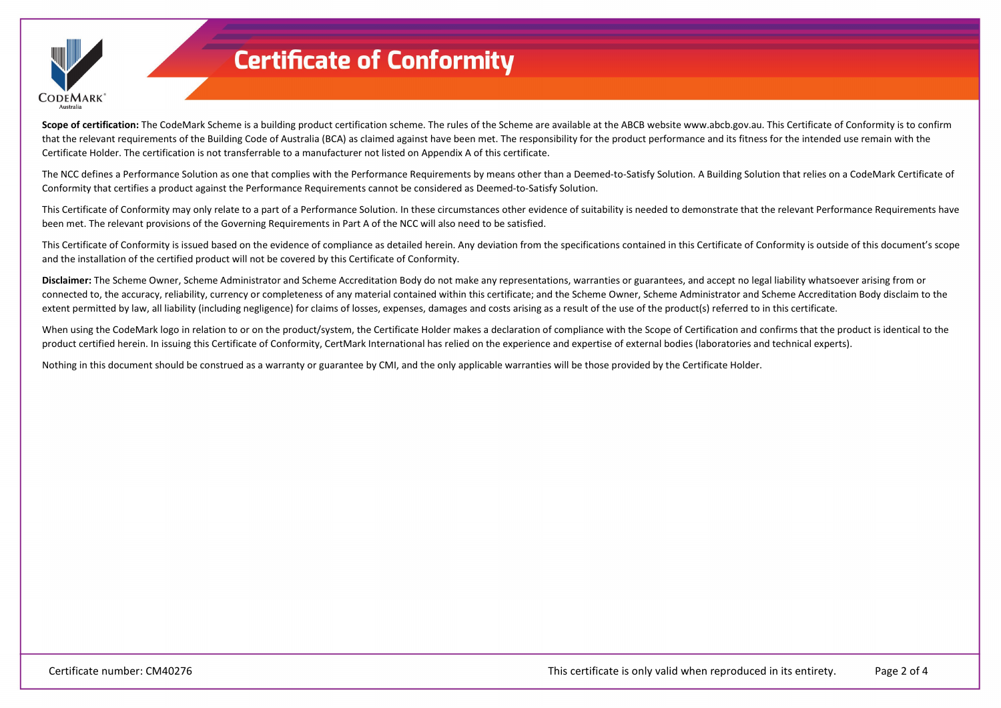

Scope of certification: The CodeMark Scheme is a building product certification scheme. The rules of the Scheme are available at the ABCB website www.abcb.gov.au. This Certificate of Conformity is to confirm that the relevant requirements of the Building Code of Australia (BCA) as claimed against have been met. The responsibility for the product performance and its fitness for the intended use remain with the Certificate Holder. The certification is not transferrable to a manufacturer not listed on Appendix A of this certificate.

The NCC defines a Performance Solution as one that complies with the Performance Requirements by means other than a Deemed-to-Satisfy Solution. A Building Solution that relies on a CodeMark Certificate of Conformity that certifies a product against the Performance Requirements cannot be considered as Deemed-to-Satisfy Solution.

This Certificate of Conformity may only relate to a part of a Performance Solution. In these circumstances other evidence of suitability is needed to demonstrate that the relevant Performance Requirements have been met. The relevant provisions of the Governing Requirements in Part A of the NCC will also need to be satisfied.

This Certificate of Conformity is issued based on the evidence of compliance as detailed herein. Any deviation from the specifications contained in this Certificate of Conformity is outside of this document's scope and the installation of the certified product will not be covered by this Certificate of Conformity.

**Disclaimer:** The Scheme Owner, Scheme Administrator and Scheme Accreditation Body do not make any representations, warranties or guarantees, and accept no legal liability whatsoever arising from or connected to, the accuracy, reliability, currency or completeness of any material contained within this certificate; and the Scheme Owner, Scheme Administrator and Scheme Accreditation Body disclaim to the extent permitted by law, all liability (including negligence) for claims of losses, expenses, damages and costs arising as a result of the use of the product(s) referred to in this certificate.

When using the CodeMark logo in relation to or on the product/system, the Certificate Holder makes a declaration of compliance with the Scope of Certification and confirms that the product is identical to the product certified herein. In issuing this Certificate of Conformity, CertMark International has relied on the experience and expertise of external bodies (laboratories and technical experts).

Nothing in this document should be construed as a warranty or guarantee by CMI, and the only applicable warranties will be those provided by the Certificate Holder.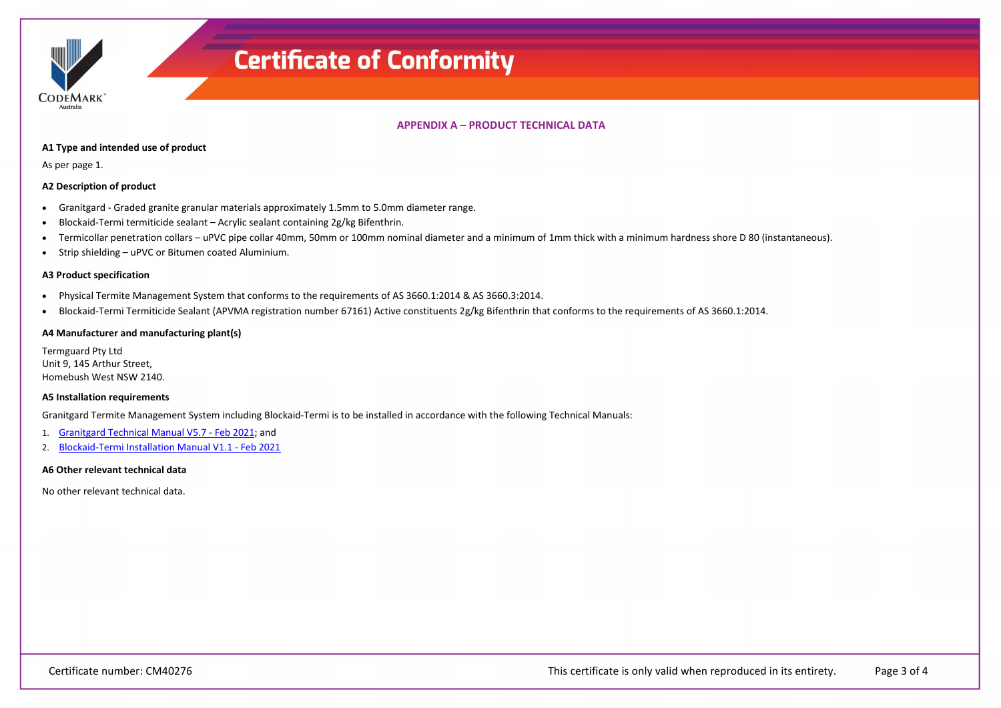**CODEMARK** 

## **APPENDIX A – PRODUCT TECHNICAL DATA**

### **A1 Type and intended use of product**

As per page 1.

## **A2 Description of product**

- Granitgard Graded granite granular materials approximately 1.5mm to 5.0mm diameter range.
- Blockaid‐Termi termiticide sealant Acrylic sealant containing 2g/kg Bifenthrin.
- Termicollar penetration collars uPVC pipe collar 40mm, 50mm or 100mm nominal diameter and a minimum of 1mm thick with a minimum hardness shore D 80 (instantaneous).
- Strip shielding uPVC or Bitumen coated Aluminium.

### **A3 Product specification**

- Physical Termite Management System that conforms to the requirements of AS 3660.1:2014 & AS 3660.3:2014.
- Blockaid-Termi Termiticide Sealant (APVMA registration number 67161) Active constituents 2g/kg Bifenthrin that conforms to the requirements of AS 3660.1:2014.

## **A4 Manufacturer and manufacturing plant(s)**

Termguard Pty Ltd Unit 9, 145 Arthur Street, Homebush West NSW 2140.

#### **A5 Installation requirements**

Granitgard Termite Management System including Blockaid‐Termi is to be installed in accordance with the following Technical Manuals:

- 1. [Granitgard Technical Manual V5.7 -](https://register.certmark.org/certificates/Termguard/CM40276/Granitgard_Technical_Manual_V5.7-Feb_2021.pdf) Feb 2021; and
- 2. [Blockaid-Termi Installation Manual V1.1 -](https://register.certmark.org/certificates/Termguard/CM40276/Blockaid-Termi_Installation_Manual_V1.1-Feb_2021.pdf) Feb 2021

#### **A6 Other relevant technical data**

No other relevant technical data.